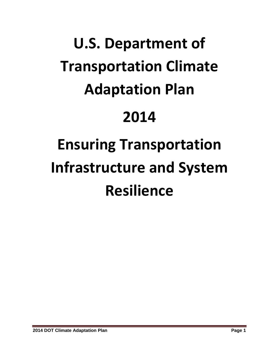# **U.S. Department of Transportation Climate Adaptation Plan 2014 Ensuring Transportation Infrastructure and System**

# **Resilience**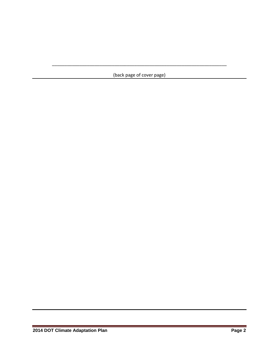(back page of cover page)

\_\_\_\_\_\_\_\_\_\_\_\_\_\_\_\_\_\_\_\_\_\_\_\_\_\_\_\_\_\_\_\_\_\_\_\_\_\_\_\_\_\_\_\_\_\_\_\_\_\_\_\_\_\_\_\_\_\_\_\_\_\_\_\_\_\_\_\_\_\_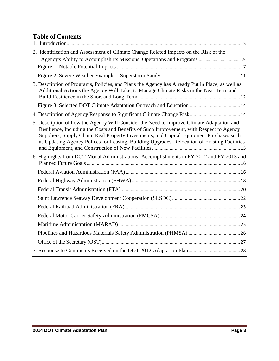# **Table of Contents**

| 2. Identification and Assessment of Climate Change Related Impacts on the Risk of the                                                                                                                                                                                                                                                                                             |  |
|-----------------------------------------------------------------------------------------------------------------------------------------------------------------------------------------------------------------------------------------------------------------------------------------------------------------------------------------------------------------------------------|--|
|                                                                                                                                                                                                                                                                                                                                                                                   |  |
|                                                                                                                                                                                                                                                                                                                                                                                   |  |
| 3. Description of Programs, Policies, and Plans the Agency has Already Put in Place, as well as<br>Additional Actions the Agency Will Take, to Manage Climate Risks in the Near Term and                                                                                                                                                                                          |  |
|                                                                                                                                                                                                                                                                                                                                                                                   |  |
|                                                                                                                                                                                                                                                                                                                                                                                   |  |
| 5. Description of how the Agency Will Consider the Need to Improve Climate Adaptation and<br>Resilience, Including the Costs and Benefits of Such Improvement, with Respect to Agency<br>Suppliers, Supply Chain, Real Property Investments, and Capital Equipment Purchases such<br>as Updating Agency Polices for Leasing, Building Upgrades, Relocation of Existing Facilities |  |
| 6. Highlights from DOT Modal Administrations' Accomplishments in FY 2012 and FY 2013 and                                                                                                                                                                                                                                                                                          |  |
|                                                                                                                                                                                                                                                                                                                                                                                   |  |
|                                                                                                                                                                                                                                                                                                                                                                                   |  |
|                                                                                                                                                                                                                                                                                                                                                                                   |  |
|                                                                                                                                                                                                                                                                                                                                                                                   |  |
|                                                                                                                                                                                                                                                                                                                                                                                   |  |
|                                                                                                                                                                                                                                                                                                                                                                                   |  |
|                                                                                                                                                                                                                                                                                                                                                                                   |  |
|                                                                                                                                                                                                                                                                                                                                                                                   |  |
|                                                                                                                                                                                                                                                                                                                                                                                   |  |
|                                                                                                                                                                                                                                                                                                                                                                                   |  |

\_\_\_\_\_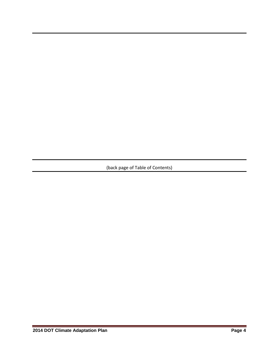(back page of Table of Contents)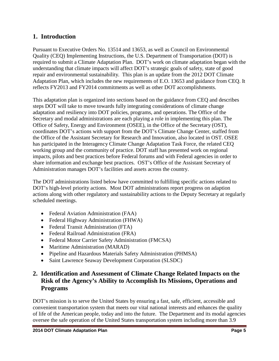# **1. Introduction**

Pursuant to Executive Orders No. 13514 and 13653, as well as Council on Environmental Quality (CEQ) Implementing Instructions, the U.S. Department of Transportation (DOT) is required to submit a Climate Adaptation Plan. DOT's work on climate adaptation began with the understanding that climate impacts will affect DOT's strategic goals of safety, state of good repair and environmental sustainability. This plan is an update from the 2012 DOT Climate Adaptation Plan, which includes the new requirements of E.O. 13653 and guidance from CEQ. It reflects FY2013 and FY2014 commitments as well as other DOT accomplishments.

This adaptation plan is organized into sections based on the guidance from CEQ and describes steps DOT will take to move towards fully integrating considerations of climate change adaptation and resiliency into DOT policies, programs, and operations. The Office of the Secretary and modal administrations are each playing a role in implementing this plan. The Office of Safety, Energy and Environment (OSEE), in the Office of the Secretary (OST), coordinates DOT's actions with support from the DOT's Climate Change Center, staffed from the Office of the Assistant Secretary for Research and Innovation, also located in OST. OSEE has participated in the Interagency Climate Change Adaptation Task Force, the related CEQ working group and the community of practice. DOT staff has presented work on regional impacts, pilots and best practices before Federal forums and with Federal agencies in order to share information and exchange best practices. OST's Office of the Assistant Secretary of Administration manages DOT's facilities and assets across the country.

The DOT administrations listed below have committed to fulfilling specific actions related to DOT's high-level priority actions. Most DOT administrations report progress on adaption actions along with other regulatory and sustainability actions to the Deputy Secretary at regularly scheduled meetings.

- Federal Aviation Administration (FAA)
- Federal Highway Administration (FHWA)
- Federal Transit Administration (FTA)
- Federal Railroad Administration (FRA)
- Federal Motor Carrier Safety Administration (FMCSA)
- Maritime Administration (MARAD)
- Pipeline and Hazardous Materials Safety Administration (PHMSA)
- Saint Lawrence Seaway Development Corporation (SLSDC)

# **2. Identification and Assessment of Climate Change Related Impacts on the Risk of the Agency's Ability to Accomplish Its Missions, Operations and Programs**

DOT's mission is to serve the United States by ensuring a fast, safe, efficient, accessible and convenient transportation system that meets our vital national interests and enhances the quality of life of the American people, today and into the future. The Department and its modal agencies oversee the safe operation of the United States transportation system including more than 3.9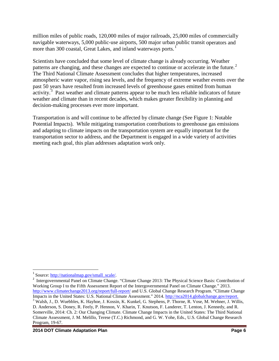million miles of public roads, 120,000 miles of major railroads, 25,000 miles of commercially navigable waterways, 5,000 public-use airports, 500 major urban public transit operators and more than 300 coastal, Great Lakes, and inland waterways ports.<sup>[1](#page-5-0)</sup>

Scientists have concluded that some level of climate change is already occurring. Weather patterns are changing, and these changes are expected to continue or accelerate in the future.<sup>[2](#page-5-1)</sup> The Third National Climate Assessment concludes that higher temperatures, increased atmospheric water vapor, rising sea levels, and the frequency of extreme weather events over the past 50 years have resulted from increased levels of greenhouse gases emitted from human activity.<sup>[3](#page-5-2)</sup> Past weather and climate patterns appear to be much less reliable indicators of future weather and climate than in recent decades, which makes greater flexibility in planning and decision-making processes ever more important.

Transportation is and will continue to be affected by climate change (See Figure 1: Notable Potential Impacts). While mitigating transportation contributions to greenhouse gas emissions and adapting to climate impacts on the transportation system are equally important for the transportation sector to address, and the Department is engaged in a wide variety of activities meeting each goal, this plan addresses adaptation work only.

<span id="page-5-0"></span> $1$  Source: [http://nationalmap.gov/small\\_scale/.](http://nationalmap.gov/small_scale/)

<span id="page-5-2"></span><span id="page-5-1"></span><sup>&</sup>lt;sup>2</sup> Intergovernmental Panel on Climate Change. "Climate Change 2013: The Physical Science Basis: Contribution of Working Group I to the Fifth Assessment Report of the Intergovernmental Panel on Climate Change." 2013. <http://www.climatechange2013.org/report/full-report/> and U.S. Global Change Research Program. "Climate Change Impacts in the United States: U.S. National Climate Assessment." 2014. http://nca2014.globalchange.gov/report. <sup>3</sup> Walsh, J., D. Wuebbles, K. Hayhoe, J. Kossin, K. Kunkel, G. Stephens, P. Thorne, R. Vose, M. Wehner, J. Willis, D. Anderson, S. Doney, R. Feely, P. Hennon, V. Kharin, T. Knutson, F. Landerer, T. Lenton, J. Kennedy, and R. Somerville, 2014: Ch. 2: Our Changing Climate. Climate Change Impacts in the United States: The Third National Climate Assessment, J. M. Melillo, Terese (T.C.) Richmond, and G. W. Yohe, Eds., U.S. Global Change Research Program, 19-67.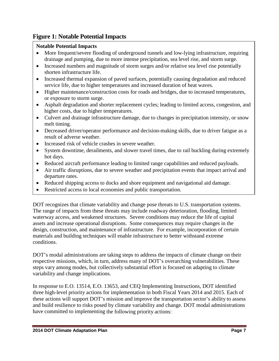# **Figure 1: Notable Potential Impacts**

#### **Notable Potential Impacts**

- More frequent/severe flooding of underground tunnels and low-lying infrastructure, requiring drainage and pumping, due to more intense precipitation, sea level rise, and storm surge.
- Increased numbers and magnitude of storm surges and/or relative sea level rise potentially shorten infrastructure life.
- Increased thermal expansion of paved surfaces, potentially causing degradation and reduced service life, due to higher temperatures and increased duration of heat waves.
- Higher maintenance/construction costs for roads and bridges, due to increased temperatures, or exposure to storm surge.
- Asphalt degradation and shorter replacement cycles; leading to limited access, congestion, and higher costs, due to higher temperatures.
- Culvert and drainage infrastructure damage, due to changes in precipitation intensity, or snow melt timing.
- Decreased driver/operator performance and decision-making skills, due to driver fatigue as a result of adverse weather.
- Increased risk of vehicle crashes in severe weather.
- System downtime, derailments, and slower travel times, due to rail buckling during extremely hot days.
- Reduced aircraft performance leading to limited range capabilities and reduced payloads.
- Air traffic disruptions, due to severe weather and precipitation events that impact arrival and departure rates.
- Reduced shipping access to docks and shore equipment and navigational aid damage.
- Restricted access to local economies and public transportation.

DOT recognizes that climate variability and change pose threats to U.S. transportation systems. The range of impacts from these threats may include roadway deterioration, flooding, limited waterway access, and weakened structures. Severe conditions may reduce the life of capital assets and increase operational disruptions. Some consequences may require changes in the design, construction, and maintenance of infrastructure. For example, incorporation of certain materials and building techniques will enable infrastructure to better withstand extreme conditions.

DOT's modal administrations are taking steps to address the impacts of climate change on their respective missions, which, in turn, address many of DOT's overarching vulnerabilities. These steps vary among modes, but collectively substantial effort is focused on adapting to climate variability and change implications.

In response to E.O. 13514, E.O. 13653, and CEQ Implementing Instructions, DOT identified three high-level priority actions for implementation in both Fiscal Years 2014 and 2015. Each of these actions will support DOT's mission and improve the transportation sector's ability to assess and build resilience to risks posed by climate variability and change. DOT modal administrations have committed to implementing the following priority actions: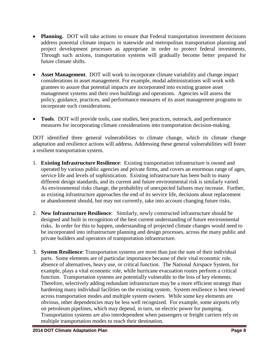- **Planning.** DOT will take actions to ensure that Federal transportation investment decisions address potential climate impacts in statewide and metropolitan transportation planning and project development processes as appropriate in order to protect federal investments. Through such actions, transportation systems will gradually become better prepared for future climate shifts.
- **Asset Management**. DOT will work to incorporate climate variability and change impact considerations in asset management. For example, modal administrations will work with grantees to assure that potential impacts are incorporated into existing grantee asset management systems and their own buildings and operations. Agencies will assess the policy, guidance, practices, and performance measures of its asset management programs to incorporate such considerations.
- **Tools**. DOT will provide tools, case studies, best practices, outreach, and performance measures for incorporating climate considerations into transportation decision-making.

DOT identified three general vulnerabilities to climate change, which its climate change adaptation and resilience actions will address. Addressing these general vulnerabilities will foster a resilient transportation system.

- 1. **Existing Infrastructure Resilience**: Existing transportation infrastructure is owned and operated by various public agencies and private firms, and covers an enormous range of ages, service life and levels of sophistication. Existing infrastructure has been built to many different design standards, and its current and future environmental risk is similarly varied. As environmental risks change, the probability of unexpected failures may increase. Further, as existing infrastructure approaches the end of its service life, decisions about replacement or abandonment should, but may not currently, take into account changing future risks.
- 2. **New Infrastructure Resilience**: Similarly, newly constructed infrastructure should be designed and built in recognition of the best current understanding of future environmental risks. In order for this to happen, understanding of projected climate changes would need to be incorporated into infrastructure planning and design processes, across the many public and private builders and operators of transportation infrastructure.
- 3. **System Resilience**: Transportation systems are more than just the sum of their individual parts. Some elements are of particular importance because of their vital economic role, absence of alternatives, heavy use, or critical function. The National Airspace System, for example, plays a vital economic role, while hurricane evacuation routes perform a critical function. Transportation systems are potentially vulnerable to the loss of key elements. Therefore, selectively adding redundant infrastructure may be a more efficient strategy than hardening many individual facilities on the existing system. System resilience is best viewed across transportation modes and multiple system owners. While some key elements are obvious, other dependencies may be less well recognized. For example, some airports rely on petroleum pipelines, which may depend, in turn, on electric power for pumping. Transportation systems are also interdependent when passengers or freight carriers rely on multiple transportation modes to reach their destination.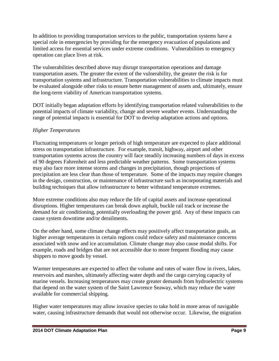In addition to providing transportation services to the public, transportation systems have a special role in emergencies by providing for the emergency evacuation of populations and limited access for essential services under extreme conditions. Vulnerabilities to emergency operation can place lives at risk.

The vulnerabilities described above may disrupt transportation operations and damage transportation assets. The greater the extent of the vulnerability, the greater the risk is for transportation systems and infrastructure. Transportation vulnerabilities to climate impacts must be evaluated alongside other risks to ensure better management of assets and, ultimately, ensure the long-term viability of American transportation systems.

DOT initially began adaptation efforts by identifying transportation related vulnerabilities to the potential impacts of climate variability, change and severe weather events. Understanding the range of potential impacts is essential for DOT to develop adaptation actions and options.

#### *Higher Temperatures*

Fluctuating temperatures or longer periods of high temperature are expected to place additional stress on transportation infrastructure. For example, transit, highway, airport and other transportation systems across the country will face steadily increasing numbers of days in excess of 90 degrees Fahrenheit and less predictable weather patterns. Some transportation systems may also face more intense storms and changes in precipitation, though projections of precipitation are less clear than those of temperature. Some of the impacts may require changes in the design, construction, or maintenance of infrastructure such as incorporating materials and building techniques that allow infrastructure to better withstand temperature extremes.

More extreme conditions also may reduce the life of capital assets and increase operational disruptions. Higher temperatures can break down asphalt, buckle rail track or increase the demand for air conditioning, potentially overloading the power grid. Any of these impacts can cause system downtime and/or derailments.

On the other hand, some climate change effects may positively affect transportation goals, as higher average temperatures in certain regions could reduce safety and maintenance concerns associated with snow and ice accumulation. Climate change may also cause modal shifts. For example, roads and bridges that are not accessible due to more frequent flooding may cause shippers to move goods by vessel.

Warmer temperatures are expected to affect the volume and rates of water flow in rivers, lakes, reservoirs and marshes, ultimately affecting water depth and the cargo carrying capacity of marine vessels. Increasing temperatures may create greater demands from hydroelectric systems that depend on the water system of the Saint Lawrence Seaway, which may reduce the water available for commercial shipping.

Higher water temperatures may allow invasive species to take hold in more areas of navigable water, causing infrastructure demands that would not otherwise occur. Likewise, the migration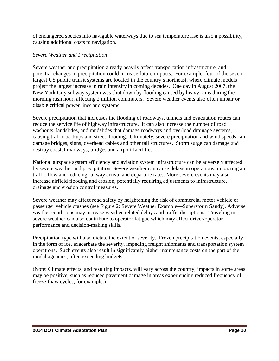of endangered species into navigable waterways due to sea temperature rise is also a possibility, causing additional costs to navigation.

#### *Severe Weather and Precipitation*

Severe weather and precipitation already heavily affect transportation infrastructure, and potential changes in precipitation could increase future impacts. For example, four of the seven largest US public transit systems are located in the country's northeast, where climate models project the largest increase in rain intensity in coming decades. One day in August 2007, the New York City subway system was shut down by flooding caused by heavy rains during the morning rush hour, affecting 2 million commuters. Severe weather events also often impair or disable critical power lines and systems.

Severe precipitation that increases the flooding of roadways, tunnels and evacuation routes can reduce the service life of highway infrastructure. It can also increase the number of road washouts, landslides, and mudslides that damage roadways and overload drainage systems, causing traffic backups and street flooding. Ultimately, severe precipitation and wind speeds can damage bridges, signs, overhead cables and other tall structures. Storm surge can damage and destroy coastal roadways, bridges and airport facilities.

National airspace system efficiency and aviation system infrastructure can be adversely affected by severe weather and precipitation. Severe weather can cause delays in operations, impacting air traffic flow and reducing runway arrival and departure rates. More severe events may also increase airfield flooding and erosion, potentially requiring adjustments to infrastructure, drainage and erosion control measures.

Severe weather may affect road safety by heightening the risk of commercial motor vehicle or passenger vehicle crashes (see Figure 2: Severe Weather Example—Superstorm Sandy). Adverse weather conditions may increase weather-related delays and traffic disruptions. Traveling in severe weather can also contribute to operator fatigue which may affect driver/operator performance and decision-making skills.

Precipitation type will also dictate the extent of severity. Frozen precipitation events, especially in the form of ice, exacerbate the severity, impeding freight shipments and transportation system operations. Such events also result in significantly higher maintenance costs on the part of the modal agencies, often exceeding budgets.

<span id="page-9-0"></span>(Note: Climate effects, and resulting impacts, will vary across the country; impacts in some areas may be positive, such as reduced pavement damage in areas experiencing reduced frequency of freeze-thaw cycles, for example.)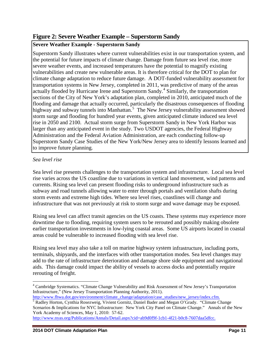# **Figure 2: Severe Weather Example – Superstorm Sandy**

#### **Severe Weather Example - Superstorm Sandy**

Superstorm Sandy illustrates where current vulnerabilities exist in our transportation system, and the potential for future impacts of climate change. Damage from future sea level rise, more severe weather events, and increased temperatures have the potential to magnify existing vulnerabilities and create new vulnerable areas. It is therefore critical for the DOT to plan for climate change adaptation to reduce future damage. A DOT-funded vulnerability assessment for transportation systems in New Jersey, completed in 2011, was predictive of many of the areas actually flooded by Hurricane Irene and Superstorm Sandy.<sup>[4](#page-10-0)</sup> Similarly, the transportation sections of the City of New York's adaptation plan, completed in 2010, anticipated much of the flooding and damage that actually occurred, particularly the disastrous consequences of flooding highway and subway tunnels into Manhattan.<sup>[5](#page-10-1)</sup> The New Jersey vulnerability assessment showed storm surge and flooding for hundred year events, given anticipated climate induced sea level rise in 2050 and 2100. Actual storm surge from Superstorm Sandy in New York Harbor was larger than any anticipated event in the study. Two USDOT agencies, the Federal Highway Administration and the Federal Aviation Administration, are each conducting follow-up Superstorm Sandy Case Studies of the New York/New Jersey area to identify lessons learned and to improve future planning.

#### *Sea level rise*

Sea level rise presents challenges to the transportation system and infrastructure. Local sea level rise varies across the US coastline due to variations in vertical land movement, wind patterns and currents. Rising sea level can present flooding risks to underground infrastructure such as subway and road tunnels allowing water to enter through portals and ventilation shafts during storm events and extreme high tides. Where sea level rises, coastlines will change and infrastructure that was not previously at risk to storm surge and wave damage may be exposed.

Rising sea level can affect transit agencies on the US coasts. These systems may experience more downtime due to flooding, requiring system users to be rerouted and possibly making obsolete earlier transportation investments in low-lying coastal areas. Some US airports located in coastal areas could be vulnerable to increased flooding with sea level rise.

Rising sea level may also take a toll on marine highway system infrastructure, including ports, terminals, shipyards, and the interfaces with other transportation modes. Sea level changes may add to the rate of infrastructure deterioration and damage shore side equipment and navigational aids. This damage could impact the ability of vessels to access docks and potentially require rerouting of freight.

<span id="page-10-0"></span><sup>4</sup> Cambridge Systematics. "Climate Change Vulnerability and Risk Assessment of New Jersey's Transportation Infrastructure," (New Jersey Transportation Planning Authority, 2011).<br>http://www.fhwa.dot.gov/environment/climate change/adaptation/case studies/new jersey/index.cfm.

<span id="page-10-1"></span><sup>&</sup>lt;sup>5</sup> Radley Horton, Cynthia Rosezweig, Vivient Gornitz, Daniel Bader and Megan O'Grady. "Climate Change Scenarios & Implications for NYC Infrastructure: New York City Panel on Climate Change." Annals of the New York Academy of Sciences, May 1, 2010: 57-62.

[http://www.nyas.org/Publications/Annals/Detail.aspx?cid=ab9d0f9f-1cb1-4f21-b0c8-7607daa5dfcc.](http://www.nyas.org/Publications/Annals/Detail.aspx?cid=ab9d0f9f-1cb1-4f21-b0c8-7607daa5dfcc)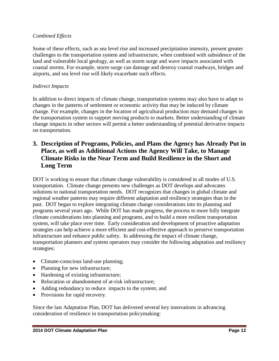#### *Combined Effects*

Some of these effects, such as sea level rise and increased precipitation intensity, present greater challenges to the transportation system and infrastructure, when combined with subsidence of the land and vulnerable local geology, as well as storm surge and wave impacts associated with coastal storms. For example, storm surge can damage and destroy coastal roadways, bridges and airports, and sea level rise will likely exacerbate such effects.

#### *Indirect Impacts*

In addition to direct impacts of climate change, transportation systems may also have to adapt to changes in the patterns of settlement or economic activity that may be induced by climate change. For example, changes in the location of agricultural production may demand changes in the transportation system to support moving products to markets. Better understanding of climate change impacts in other sectors will permit a better understanding of potential derivative impacts on transportation.

# <span id="page-11-0"></span>**3. Description of Programs, Policies, and Plans the Agency has Already Put in Place, as well as Additional Actions the Agency Will Take, to Manage Climate Risks in the Near Term and Build Resilience in the Short and Long Term**

DOT is working to ensure that climate change vulnerability is considered in all modes of U.S. transportation. Climate change presents new challenges as DOT develops and advocates solutions to national transportation needs. DOT recognizes that changes in global climate and regional weather patterns may require different adaptation and resiliency strategies than in the past. DOT began to explore integrating climate change considerations into its planning and programs several years ago. While DOT has made progress, the process to more fully integrate climate considerations into planning and programs, and to build a more resilient transportation system, will take place over time. Early consideration and development of proactive adaptation strategies can help achieve a more efficient and cost-effective approach to preserve transportation infrastructure and enhance public safety. In addressing the impact of climate change, transportation planners and system operators may consider the following adaptation and resiliency strategies:

- Climate-conscious land-use planning;
- Planning for new infrastructure;
- Hardening of existing infrastructure;
- Relocation or abandonment of at-risk infrastructure:
- Adding redundancy to reduce impacts to the system; and
- Provisions for rapid recovery.

Since the last Adaptation Plan, DOT has delivered several key innovations in advancing consideration of resilience in transportation policymaking: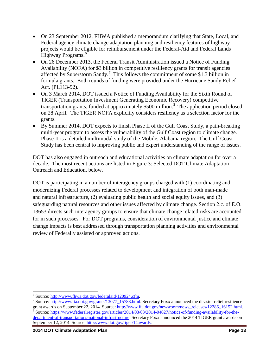- On 23 September 2012, FHWA published a memorandum clarifying that State, Local, and Federal agency climate change adaptation planning and resiliency features of highway projects would be eligible for reimbursement under the Federal-Aid and Federal Lands Highway Programs. [6](#page-12-0)
- On 26 December 2013, the Federal Transit Administration issued a Notice of Funding Availability (NOFA) for \$3 billion in competitive resiliency grants for transit agencies affected by Superstorm Sandy.<sup>[7](#page-12-1)</sup> This follows the commitment of some \$1.3 billion in formula grants. Both rounds of funding were provided under the Hurricane Sandy Relief Act. (PL113-92).
- On 3 March 2014, DOT issued a Notice of Funding Availability for the Sixth Round of TIGER (Transportation Investment Generating Economic Recovery) competitive transportation grants, funded at approximately  $$500$  million.<sup>[8](#page-12-2)</sup> The application period closed on 28 April. The TIGER NOFA explicitly considers resiliency as a selection factor for the grants.
- By Summer 2014, DOT expects to finish Phase II of the Gulf Coast Study, a path-breaking multi-year program to assess the vulnerability of the Gulf Coast region to climate change. Phase II is a detailed multimodal study of the Mobile, Alabama region. The Gulf Coast Study has been central to improving public and expert understanding of the range of issues.

DOT has also engaged in outreach and educational activities on climate adaptation for over a decade. The most recent actions are listed in Figure 3: Selected DOT Climate Adaptation Outreach and Education, below.

DOT is participating in a number of interagency groups charged with (1) coordinating and modernizing Federal processes related to development and integration of both man-made and natural infrastructure, (2) evaluating public health and social equity issues, and (3) safeguarding natural resources and other issues affected by climate change. Section 2.c. of E.O. 13653 directs such interagency groups to ensure that climate change related risks are accounted for in such processes. For DOT programs, consideration of environmental justice and climate change impacts is best addressed through transportation planning activities and environmental review of Federally assisted or approved actions.

<span id="page-12-2"></span>

<span id="page-12-1"></span><span id="page-12-0"></span><sup>&</sup>lt;sup>6</sup> Source: [http://www.fhwa.dot.gov/federalaid/120924.cfm.](http://www.fhwa.dot.gov/federalaid/120924.cfm)<br><sup>7</sup> Source: [http://www.fta.dot.gov/grants/13077\\_15783.html.](http://www.fta.dot.gov/grants/13077_15783.html) Secretary Foxx announced the disaster relief resilience grant awards on September 22, 2014. Source[: http://www.fta.dot.gov/newsroom/news\\_releases/12286\\_16152.html.](http://www.fta.dot.gov/newsroom/news_releases/12286_16152.html) 8<br>Source: [https://www.federalregister.gov/articles/2014/03/03/2014-04627/notice-of-funding-availability-for-the](https://www.federalregister.gov/articles/2014/03/03/2014-04627/notice-of-funding-availability-for-the-department-of-transportations-national-infrastructure)[department-of-transportations-national-infrastructure.](https://www.federalregister.gov/articles/2014/03/03/2014-04627/notice-of-funding-availability-for-the-department-of-transportations-national-infrastructure) Secretary Foxx announced the 2014 TIGER grant awards on September 12, 2014. Source: [http://www.dot.gov/tiger/14awards.](http://www.dot.gov/tiger/14awards)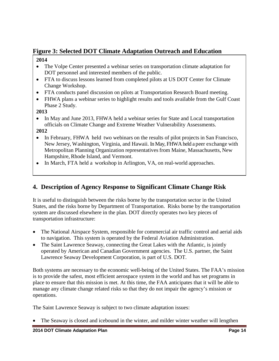# **Figure 3: Selected DOT Climate Adaptation Outreach and Education**

#### **2014**

- The Volpe Center presented a webinar series on transportation climate adaptation for DOT personnel and interested members of the public.
- FTA to discuss lessons learned from completed pilots at US DOT Center for Climate Change Workshop.
- FTA conducts panel discussion on pilots at Transportation Research Board meeting.
- FHWA plans a webinar series to highlight results and tools available from the Gulf Coast Phase 2 Study.

#### **2013**

• In May and June 2013, FHWA held a webinar series for State and Local transportation officials on Climate Change and Extreme Weather Vulnerability Assessments.

#### **2012**

- In February, FHWA held two webinars on the results of pilot projects in San Francisco, New Jersey, Washington, Virginia, and Hawaii. In May, FHWA held a peer exchange with Metropolitan Planning Organization representatives from Maine, Massachusetts, New Hampshire, Rhode Island, and Vermont.
- In March, FTA held a workshop in Arlington, VA, on real-world approaches.

# **4. Description of Agency Response to Significant Climate Change Risk**

It is useful to distinguish between the risks borne by the transportation sector in the United States, and the risks borne by Department of Transportation. Risks borne by the transportation system are discussed elsewhere in the plan. DOT directly operates two key pieces of transportation infrastructure:

- The National Airspace System, responsible for commercial air traffic control and aerial aids to navigation. This system is operated by the Federal Aviation Administration.
- The Saint Lawrence Seaway, connecting the Great Lakes with the Atlantic, is jointly operated by American and Canadian Government agencies. The U.S. partner, the Saint Lawrence Seaway Development Corporation, is part of U.S. DOT.

Both systems are necessary to the economic well-being of the United States. The FAA's mission is to provide the safest, most efficient aerospace system in the world and has set programs in place to ensure that this mission is met. At this time, the FAA anticipates that it will be able to manage any climate change related risks so that they do not impair the agency's mission or operations.

The Saint Lawrence Seaway is subject to two climate adaptation issues:

The Seaway is closed and icebound in the winter, and milder winter weather will lengthen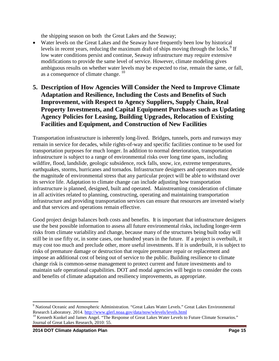the shipping season on both the Great Lakes and the Seaway;

- Water levels on the Great Lakes and the Seaway have frequently been low by historical levels in recent years, reducing the maximum draft of ships moving through the locks.<sup>[9](#page-14-0)</sup> If low water conditions persist and continue, Seaway infrastructure may require extensive modifications to provide the same level of service. However, climate modeling gives ambiguous results on whether water levels may be expected to rise, remain the same, or fall, as a consequence of climate change. <sup>[10](#page-14-1)</sup>
- **5. Description of How Agencies Will Consider the Need to Improve Climate Adaptation and Resilience, Including the Costs and Benefits of Such Improvement, with Respect to Agency Suppliers, Supply Chain, Real Property Investments, and Capital Equipment Purchases such as Updating Agency Policies for Leasing, Building Upgrades, Relocation of Existing Facilities and Equipment, and Construction of New Facilities**

Transportation infrastructure is inherently long-lived. Bridges, tunnels, ports and runways may remain in service for decades, while rights-of-way and specific facilities continue to be used for transportation purposes for much longer. In addition to normal deterioration, transportation infrastructure is subject to a range of environmental risks over long time spans, including wildfire, flood, landslide, geologic subsidence, rock falls, snow, ice, extreme temperatures, earthquakes, storms, hurricanes and tornados. Infrastructure designers and operators must decide the magnitude of environmental stress that any particular project will be able to withstand over its service life. Adaptation to climate change can include adjusting how transportation infrastructure is planned, designed, built and operated. Mainstreaming consideration of climate in all activities related to planning, constructing, operating and maintaining transportation infrastructure and providing transportation services can ensure that resources are invested wisely and that services and operations remain effective.

Good project design balances both costs and benefits. It is important that infrastructure designers use the best possible information to assess all future environmental risks, including longer-term risks from climate variability and change, because many of the structures being built today will still be in use fifty or, in some cases, one hundred years in the future. If a project is overbuilt, it may cost too much and preclude other, more useful investments. If it is underbuilt, it is subject to risks of premature damage or destruction that require premature repair or replacement and impose an additional cost of being out of service to the public. Building resilience to climate change risk is common-sense management to protect current and future investments and to maintain safe operational capabilities. DOT and modal agencies will begin to consider the costs and benefits of climate adaptation and resiliency improvements, as appropriate.

<span id="page-14-0"></span><sup>&</sup>lt;sup>9</sup> National Oceanic and Atmospheric Administration. "Great Lakes Water Levels." Great Lakes Environmental Research Laboratory. 2014. http://www.glerl.noaa.gov/data/now/wlevels/levels.html

<span id="page-14-1"></span><sup>&</sup>lt;sup>10</sup> Kenneth Kunkel and James Angel. "The Response of Great Lakes Water Levels to Future Climate Scenarios." Journal of Great Lakes Research, 2010: 55.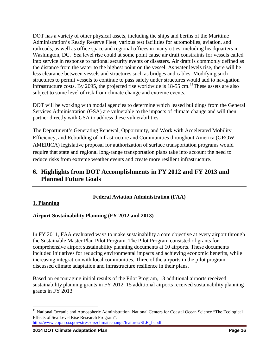DOT has a variety of other physical assets, including the ships and berths of the Maritime Administration's Ready Reserve Fleet, various test facilities for automobiles, aviation, and railroads, as well as office space and regional offices in many cities, including headquarters in Washington, DC. Sea level rise could at some point cause air draft constraints for vessels called into service in response to national security events or disasters. Air draft is commonly defined as the distance from the water to the highest point on the vessel. As water levels rise, there will be less clearance between vessels and structures such as bridges and cables. Modifying such structures to permit vessels to continue to pass safely under structures would add to navigation infrastructure costs. By 2095, the projected rise worldwide is  $18-55$  cm.<sup>11</sup>These assets are also subject to some level of risk from climate change and extreme events.

DOT will be working with modal agencies to determine which leased buildings from the General Services Administration (GSA) are vulnerable to the impacts of climate change and will then partner directly with GSA to address these vulnerabilities.

The Department's Generating Renewal, Opportunity, and Work with Accelerated Mobility, Efficiency, and Rebuilding of Infrastructure and Communities throughout America (GROW AMERICA) legislative proposal for authorization of surface transportation programs would require that state and regional long-range transportation plans take into account the need to reduce risks from extreme weather events and create more resilient infrastructure.

# **6. Highlights from DOT Accomplishments in FY 2012 and FY 2013 and Planned Future Goals**

#### **Federal Aviation Administration (FAA)**

#### **1. Planning**

#### **Airport Sustainability Planning (FY 2012 and 2013)**

In FY 2011, FAA evaluated ways to make sustainability a core objective at every airport through the Sustainable Master Plan Pilot Program. The Pilot Program consisted of grants for comprehensive airport sustainability planning documents at 10 airports. These documents included initiatives for reducing environmental impacts and achieving economic benefits, while increasing integration with local communities. Three of the airports in the pilot program discussed climate adaptation and infrastructure resilience in their plans.

Based on encouraging initial results of the Pilot Program, 13 additional airports received sustainability planning grants in FY 2012. 15 additional airports received sustainability planning grants in FY 2013.

<span id="page-15-0"></span><sup>&</sup>lt;sup>11</sup> National Oceanic and Atmospheric Administration. National Centers for Coastal Ocean Science "The Ecological Effects of Sea Level Rise Research Program".

[http://www.cop.noaa.gov/stressors/climatechange/features/SLR\\_fs.pdf.](http://www.cop.noaa.gov/stressors/climatechange/features/SLR_fs.pdf)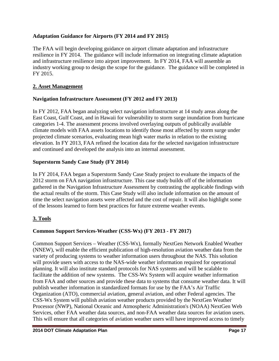#### **Adaptation Guidance for Airports (FY 2014 and FY 2015)**

The FAA will begin developing guidance on airport climate adaptation and infrastructure resilience in FY 2014. The guidance will include information on integrating climate adaptation and infrastructure resilience into airport improvement. In FY 2014, FAA will assemble an industry working group to design the scope for the guidance. The guidance will be completed in FY 2015.

#### **2. Asset Management**

#### **Navigation Infrastructure Assessment (FY 2012 and FY 2013)**

In FY 2012, FAA began analyzing select navigation infrastructure at 14 study areas along the East Coast, Gulf Coast, and in Hawaii for vulnerability to storm surge inundation from hurricane categories 1-4. The assessment process involved overlaying outputs of publically available climate models with FAA assets locations to identify those most affected by storm surge under projected climate scenarios, evaluating mean high water marks in relation to the existing elevation. In FY 2013, FAA refined the location data for the selected navigation infrastructure and continued and developed the analysis into an internal assessment.

#### **Superstorm Sandy Case Study (FY 2014)**

In FY 2014, FAA began a Superstorm Sandy Case Study project to evaluate the impacts of the 2012 storm on FAA navigation infrastructure. This case study builds off of the information gathered in the Navigation Infrastructure Assessment by contrasting the applicable findings with the actual results of the storm. This Case Study will also include information on the amount of time the select navigation assets were affected and the cost of repair. It will also highlight some of the lessons learned to form best practices for future extreme weather events.

#### **3. Tools**

#### **Common Support Services-Weather (CSS-Wx) (FY 2013 - FY 2017)**

Common Support Services – Weather (CSS-Wx), formally NextGen Network Enabled Weather (NNEW), will enable the efficient publication of high-resolution aviation weather data from the variety of producing systems to weather information users throughout the NAS. This solution will provide users with access to the NAS-wide weather information required for operational planning. It will also institute standard protocols for NAS systems and will be scalable to facilitate the addition of new systems. The CSS-Wx System will acquire weather information from FAA and other sources and provide these data to systems that consume weather data. It will publish weather information in standardized formats for use by the FAA's Air Traffic Organization (ATO), commercial aviation, general aviation, and other Federal agencies. The CSS-Wx System will publish aviation weather products provided by the NextGen Weather Processor (NWP), National Oceanic and Atmospheric Administration's (NOAA) NextGen Web Services, other FAA weather data sources, and non-FAA weather data sources for aviation users. This will ensure that all categories of aviation weather users will have improved access to timely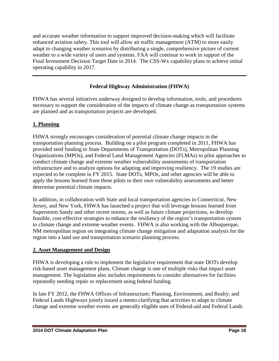and accurate weather information to support improved decision-making which will facilitate enhanced aviation safety. This tool will allow air traffic management (ATM) to more easily adapt to changing weather scenarios by distributing a single, comprehensive picture of current weather to a wide variety of users and systems. FAA will continue to work in support of the Final Investment Decision Target Date in 2014. The CSS-Wx capability plans to achieve initial operating capability in 2017.

# **Federal Highway Administration (FHWA)**

FHWA has several initiatives underway designed to develop information, tools, and procedures necessary to support the consideration of the impacts of climate change as transportation systems are planned and as transportation projects are developed.

#### **1. Planning**

FHWA strongly encourages consideration of potential climate change impacts in the transportation planning process. Building on a pilot program completed in 2011, FHWA has provided seed funding to State Departments of Transportation (DOTs), Metropolitan Planning Organizations (MPOs), and Federal Land Management Agencies (FLMAs) to pilot approaches to conduct climate change and extreme weather vulnerability assessments of transportation infrastructure and to analyze options for adapting and improving resiliency. The 19 studies are expected to be complete in FY 2015. State DOTs, MPOs, and other agencies will be able to apply the lessons learned from these pilots to their own vulnerability assessments and better determine potential climate impacts.

In addition, in collaboration with State and local transportation agencies in Connecticut, New Jersey, and New York, FHWA has launched a project that will leverage lessons learned from Superstorm Sandy and other recent storms, as well as future climate projections, to develop feasible, cost-effective strategies to enhance the resiliency of the region's transportation system to climate change and extreme weather events. FHWA is also working with the Albuquerque, NM metropolitan region on integrating climate change mitigation and adaptation analysis for the region into a land use and transportation scenario planning process.

#### **2. Asset Management and Design**

FHWA is developing a rule to implement the legislative requirement that state DOTs develop risk-based asset management plans. Climate change is one of multiple risks that impact asset management. The legislation also includes requirements to consider alternatives for facilities repeatedly needing repair or replacement using federal funding.

In late FY 2012, the FHWA Offices of Infrastructure; Planning, Environment, and Realty; and Federal Lands Highways jointly issued a memo clarifying that activities to adapt to climate change and extreme weather events are generally eligible uses of Federal-aid and Federal Lands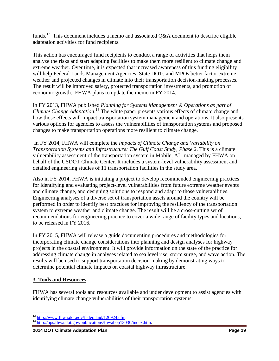funds.<sup>[12](#page-18-0)</sup> This document includes a memo and associated  $O&A$  document to describe eligible adaptation activities for fund recipients.

This action has encouraged fund recipients to conduct a range of activities that helps them analyze the risks and start adapting facilities to make them more resilient to climate change and extreme weather. Over time, it is expected that increased awareness of this funding eligibility will help Federal Lands Management Agencies, State DOTs and MPOs better factor extreme weather and projected changes in climate into their transportation decision-making processes. The result will be improved safety, protected transportation investments, and promotion of economic growth. FHWA plans to update the memo in FY 2014.

In FY 2013, FHWA published *Planning for Systems Management & Operations as part of Climate Change Adaptation*. [13](#page-18-1) The white paper presents various effects of climate change and how those effects will impact transportation system management and operations. It also presents various options for agencies to assess the vulnerabilities of transportation systems and proposed changes to make transportation operations more resilient to climate change.

In FY 2014, FHWA will complete the *Impacts of Climate Change and Variability on Transportation Systems and Infrastructure: The Gulf Coast Study, Phase 2*. This is a climate vulnerability assessment of the transportation system in Mobile, AL, managed by FHWA on behalf of the USDOT Climate Center. It includes a system-level vulnerability assessment and detailed engineering studies of 11 transportation facilities in the study area.

Also in FY 2014, FHWA is initiating a project to develop recommended engineering practices for identifying and evaluating project-level vulnerabilities from future extreme weather events and climate change, and designing solutions to respond and adapt to those vulnerabilities. Engineering analyses of a diverse set of transportation assets around the country will be performed in order to identify best practices for improving the resiliency of the transportation system to extreme weather and climate change. The result will be a cross-cutting set of recommendations for engineering practice to cover a wide range of facility types and locations, to be released in FY 2016.

In FY 2015, FHWA will release a guide documenting procedures and methodologies for incorporating climate change considerations into planning and design analyses for highway projects in the coastal environment. It will provide information on the state of the practice for addressing climate change in analyses related to sea level rise, storm surge, and wave action. The results will be used to support transportation decision-making by demonstrating ways to determine potential climate impacts on coastal highway infrastructure.

#### **3. Tools and Resources**

FHWA has several tools and resources available and under development to assist agencies with identifying climate change vulnerabilities of their transportation systems:

<span id="page-18-1"></span><span id="page-18-0"></span>

 $12 \frac{\text{http://www.fhwa.dot.gov/federalaid/120924.cfm}}{\text{http://ops.fhwa.dot.gov/publications/fhwahop13030/index.htm}}$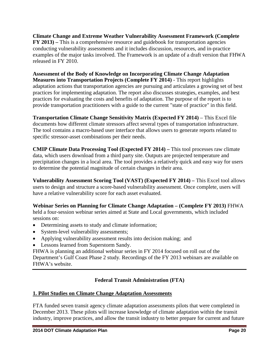**Climate Change and Extreme Weather Vulnerability Assessment Framework (Complete FY 2013) –** This is a comprehensive resource and guidebook for transportation agencies conducting vulnerability assessments and it includes discussion, resources, and in-practice examples of the major tasks involved. The Framework is an update of a draft version that FHWA released in FY 2010.

**Assessment of the Body of Knowledge on Incorporating Climate Change Adaptation Measures into Transportation Projects (Complete FY 2014)** - This report highlights adaptation actions that transportation agencies are pursuing and articulates a growing set of best practices for implementing adaptation. The report also discusses strategies, examples, and best practices for evaluating the costs and benefits of adaptation. The purpose of the report is to provide transportation practitioners with a guide to the current "state of practice" in this field.

**Transportation Climate Change Sensitivity Matrix (Expected FY 2014)** – This Excel file documents how different climate stressors affect several types of transportation infrastructure. The tool contains a macro-based user interface that allows users to generate reports related to specific stressor-asset combinations per their needs.

**CMIP Climate Data Processing Tool (Expected FY 2014) –** This tool processes raw climate data, which users download from a third party site. Outputs are projected temperature and precipitation changes in a local area. The tool provides a relatively quick and easy way for users to determine the potential magnitude of certain changes in their area.

**Vulnerability Assessment Scoring Tool (VAST) (Expected FY 2014) –** This Excel tool allows users to design and structure a score-based vulnerability assessment. Once complete, users will have a relative vulnerability score for each asset evaluated.

**Webinar Series on Planning for Climate Change Adaptation – (Complete FY 2013)** FHWA held a four-session webinar series aimed at State and Local governments, which included sessions on:

- Determining assets to study and climate information;
- System-level vulnerability assessments;
- Applying vulnerability assessment results into decision making; and
- Lessons learned from Superstorm Sandy.

FHWA is planning an additional webinar series in FY 2014 focused on roll out of the Department's Gulf Coast Phase 2 study. Recordings of the FY 2013 webinars are available on FHWA's website.

# **Federal Transit Administration (FTA)**

#### **1. Pilot Studies on Climate Change Adaptation Assessments**

FTA funded seven transit agency climate adaptation assessments pilots that were completed in December 2013. These pilots will increase knowledge of climate adaptation within the transit industry, improve practices, and allow the transit industry to better prepare for current and future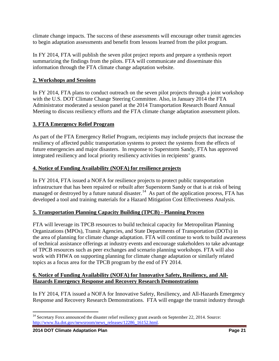climate change impacts. The success of these assessments will encourage other transit agencies to begin adaptation assessments and benefit from lessons learned from the pilot program.

In FY 2014, FTA will publish the seven pilot project reports and prepare a synthesis report summarizing the findings from the pilots. FTA will communicate and disseminate this information through the FTA climate change adaptation website.

#### **2. Workshops and Sessions**

In FY 2014, FTA plans to conduct outreach on the seven pilot projects through a joint workshop with the U.S. DOT Climate Change Steering Committee. Also, in January 2014 the FTA Administrator moderated a session panel at the 2014 Transportation Research Board Annual Meeting to discuss resiliency efforts and the FTA climate change adaptation assessment pilots.

# **3. FTA Emergency Relief Program**

As part of the FTA Emergency Relief Program, recipients may include projects that increase the resiliency of affected public transportation systems to protect the systems from the effects of future emergencies and major disasters. In response to Superstorm Sandy, FTA has approved integrated resiliency and local priority resiliency activities in recipients' grants.

#### **4. Notice of Funding Availability (NOFA) for resilience projects**

In FY 2014, FTA issued a NOFA for resilience projects to protect public transportation infrastructure that has been repaired or rebuilt after Superstorm Sandy or that is at risk of being managed or destroyed by a future natural disaster.<sup>14</sup> As part of the application process, FTA has developed a tool and training materials for a Hazard Mitigation Cost Effectiveness Analysis.

# **5. Transportation Planning Capacity Building (TPCB) - Planning Process**

FTA will leverage its TPCB resources to build technical capacity for Metropolitan Planning Organizations (MPOs), Transit Agencies, and State Departments of Transportation (DOTs) in the area of planning for climate change adaptation. FTA will continue to work to build awareness of technical assistance offerings at industry events and encourage stakeholders to take advantage of TPCB resources such as peer exchanges and scenario planning workshops. FTA will also work with FHWA on supporting planning for climate change adaptation or similarly related topics as a focus area for the TPCB program by the end of FY 2014.

#### **6. Notice of Funding Availability (NOFA) for Innovative Safety, Resiliency, and All-Hazards Emergency Response and Recovery Research Demonstrations**

In FY 2014, FTA issued a NOFA for Innovative Safety, Resiliency, and All-Hazards Emergency Response and Recovery Research Demonstrations. FTA will engage the transit industry through

<span id="page-20-0"></span><sup>&</sup>lt;sup>14</sup> Secretary Foxx announced the disaster relief resiliency grant awards on September 22, 2014. Source: [http://www.fta.dot.gov/newsroom/news\\_releases/12286\\_16152.html.](http://www.fta.dot.gov/newsroom/news_releases/12286_16152.html)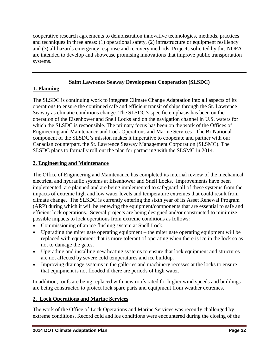cooperative research agreements to demonstration innovative technologies, methods, practices and techniques in three areas: (1) operational safety, (2) infrastructure or equipment resiliency and (3) all-hazards emergency response and recovery methods. Projects solicited by this NOFA are intended to develop and showcase promising innovations that improve public transportation systems.

## **Saint Lawrence Seaway Development Cooperation (SLSDC)**

#### **1. Planning**

The SLSDC is continuing work to integrate Climate Change Adaptation into all aspects of its operations to ensure the continued safe and efficient transit of ships through the St. Lawrence Seaway as climatic conditions change. The SLSDC's specific emphasis has been on the operation of the Eisenhower and Snell Locks and on the navigation channel in U.S. waters for which the SLSDC is responsible. The primary focus has been on the work of the Offices of Engineering and Maintenance and Lock Operations and Marine Services The Bi-National component of the SLSDC's mission makes it imperative to cooperate and partner with our Canadian counterpart, the St. Lawrence Seaway Management Corporation (SLSMC). The SLSDC plans to formally roll out the plan for partnering with the SLSMC in 2014.

# **2. Engineering and Maintenance**

The Office of Engineering and Maintenance has completed its internal review of the mechanical, electrical and hydraulic systems at Eisenhower and Snell Locks. Improvements have been implemented, are planned and are being implemented to safeguard all of these systems from the impacts of extreme high and low water levels and temperature extremes that could result from climate change. The SLSDC is currently entering the sixth year of its Asset Renewal Program (ARP) during which it will be renewing the equipment/components that are essential to safe and efficient lock operations. Several projects are being designed and/or constructed to minimize possible impacts to lock operations from extreme conditions as follows:

- Commissioning of an ice flushing system at Snell Lock.
- Upgrading the miter gate operating equipment the miter gate operating equipment will be replaced with equipment that is more tolerant of operating when there is ice in the lock so as not to damage the gates.
- Upgrading and installing new heating systems to ensure that lock equipment and structures are not affected by severe cold temperatures and ice buildup.
- Improving drainage systems in the galleries and machinery recesses at the locks to ensure that equipment is not flooded if there are periods of high water.

In addition, roofs are being replaced with new roofs rated for higher wind speeds and buildings are being constructed to protect lock spare parts and equipment from weather extremes.

# **2. Lock Operations and Marine Services**

The work of the Office of Lock Operations and Marine Services was recently challenged by extreme conditions. Record cold and ice conditions were encountered during the closing of the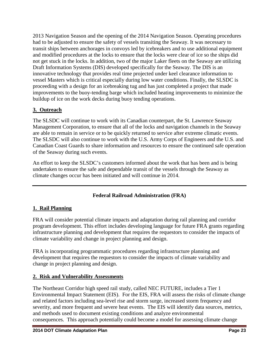2013 Navigation Season and the opening of the 2014 Navigation Season. Operating procedures had to be adjusted to ensure the safety of vessels transiting the Seaway. It was necessary to transit ships between anchorages in convoys led by icebreakers and to use additional equipment and modified procedures at the locks to ensure that the locks were clear of ice so the ships did not get stuck in the locks. In addition, two of the major Laker fleets on the Seaway are utilizing Draft Information Systems (DIS) developed specifically for the Seaway. The DIS is an innovative technology that provides real time projected under keel clearance information to vessel Masters which is critical especially during low water conditions. Finally, the SLSDC is proceeding with a design for an icebreaking tug and has just completed a project that made improvements to the buoy-tending barge which included heating improvements to minimize the buildup of ice on the work decks during buoy tending operations.

#### **3. Outreach**

The SLSDC will continue to work with its Canadian counterpart, the St. Lawrence Seaway Management Corporation, to ensure that all of the locks and navigation channels in the Seaway are able to remain in service or to be quickly returned to service after extreme climatic events. The SLSDC will also continue to work with the U.S. Army Corps of Engineers and the U.S. and Canadian Coast Guards to share information and resources to ensure the continued safe operation of the Seaway during such events.

An effort to keep the SLSDC's customers informed about the work that has been and is being undertaken to ensure the safe and dependable transit of the vessels through the Seaway as climate changes occur has been initiated and will continue in 2014.

#### **Federal Railroad Administration (FRA)**

#### **1. Rail Planning**

FRA will consider potential climate impacts and adaptation during rail planning and corridor program development. This effort includes developing language for future FRA grants regarding infrastructure planning and development that requires the requestors to consider the impacts of climate variability and change in project planning and design.

FRA is incorporating programmatic procedures regarding infrastructure planning and development that requires the requestors to consider the impacts of climate variability and change in project planning and design.

#### **2. Risk and Vulnerability Assessments**

The Northeast Corridor high speed rail study, called NEC FUTURE, includes a Tier 1 Environmental Impact Statement (EIS). For the EIS, FRA will assess the risks of climate change and related factors including sea-level rise and storm surge, increased storm frequency and severity, and more frequent and severe heat events. The EIS will identify data sources, metrics, and methods used to document existing conditions and analyze environmental consequences. This approach potentially could become a model for assessing climate change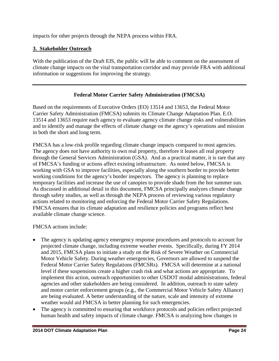impacts for other projects through the NEPA process within FRA.

#### **3. Stakeholder Outreach**

With the publication of the Draft EIS, the public will be able to comment on the assessment of climate change impacts on the vital transportation corridor and may provide FRA with additional information or suggestions for improving the strategy.

#### **Federal Motor Carrier Safety Administration (FMCSA)**

Based on the requirements of Executive Orders (EO) 13514 and 13653, the Federal Motor Carrier Safety Administration (FMCSA) submits its Climate Change Adaptation Plan. E.O. 13514 and 13653 require each agency to evaluate agency climate change risks and vulnerabilities and to identify and manage the effects of climate change on the agency's operations and mission in both the short and long term.

FMCSA has a low-risk profile regarding climate change impacts compared to most agencies. The agency does not have authority to own real property, therefore it leases all real property through the General Services Administration (GSA). And as a practical matter, it is rare that any of FMCSA's funding or actions affect existing infrastructure. As noted below, FMCSA is working with GSA to improve facilities, especially along the southern border to provide better working conditions for the agency's border inspectors. The agency is planning to replace temporary facilities and increase the use of canopies to provide shade from the hot summer sun. As discussed in additional detail in this document, FMCSA principally analyzes climate change through safety studies, as well as through the NEPA process of reviewing various regulatory actions related to monitoring and enforcing the Federal Motor Carrier Safety Regulations. FMCSA ensures that its climate adaptation and resilience policies and programs reflect best available climate change science.

FMCSA actions include:

- The agency is updating agency emergency response procedures and protocols to account for projected climate change, including extreme weather events. Specifically, during FY 2014 and 2015, FMCSA plans to initiate a study on the Risk of Severe Weather on Commercial Motor Vehicle Safety. During weather emergencies, Governors are allowed to suspend the Federal Motor Carrier Safety Regulations (FMCSRs). FMCSA will determine at a national level if these suspensions create a higher crash risk and what actions are appropriate. To implement this action, outreach opportunities to other USDOT modal administrations, federal agencies and other stakeholders are being considered. In addition, outreach to state safety and motor carrier enforcement groups (e.g., the Commercial Motor Vehicle Safety Alliance) are being evaluated. A better understanding of the nature, scale and intensity of extreme weather would aid FMCSA in better planning for such emergencies.
- The agency is committed to ensuring that workforce protocols and policies reflect projected human health and safety impacts of climate change. FMCSA is analyzing how changes in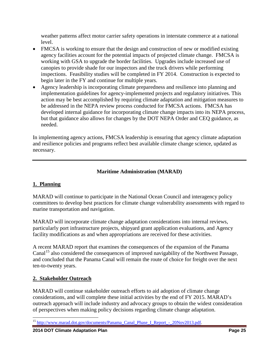weather patterns affect motor carrier safety operations in interstate commerce at a national level.

- FMCSA is working to ensure that the design and construction of new or modified existing agency facilities account for the potential impacts of projected climate change. FMCSA is working with GSA to upgrade the border facilities. Upgrades include increased use of canopies to provide shade for our inspectors and the truck drivers while performing inspections. Feasibility studies will be completed in FY 2014. Construction is expected to begin later in the FY and continue for multiple years.
- Agency leadership is incorporating climate preparedness and resilience into planning and implementation guidelines for agency-implemented projects and regulatory initiatives. This action may be best accomplished by requiring climate adaptation and mitigation measures to be addressed in the NEPA review process conducted for FMCSA actions. FMCSA has developed internal guidance for incorporating climate change impacts into its NEPA process, but that guidance also allows for changes by the DOT NEPA Order and CEQ guidance, as needed.

In implementing agency actions, FMCSA leadership is ensuring that agency climate adaptation and resilience policies and programs reflect best available climate change science, updated as necessary.

#### **Maritime Administration (MARAD)**

#### **1. Planning**

MARAD will continue to participate in the National Ocean Council and interagency policy committees to develop best practices for climate change vulnerability assessments with regard to marine transportation and navigation.

MARAD will incorporate climate change adaptation considerations into internal reviews, particularly port infrastructure projects, shipyard grant application evaluations, and Agency facility modifications as and when appropriations are received for these activities.

A recent MARAD report that examines the consequences of the expansion of the Panama Canal<sup>[15](#page-24-0)</sup> also considered the consequences of improved navigability of the Northwest Passage, and concluded that the Panama Canal will remain the route of choice for freight over the next ten-to-twenty years.

#### **2. Stakeholder Outreach**

MARAD will continue stakeholder outreach efforts to aid adoption of climate change considerations, and will complete these initial activities by the end of FY 2015. MARAD's outreach approach will include industry and advocacy groups to obtain the widest consideration of perspectives when making policy decisions regarding climate change adaptation.

<span id="page-24-0"></span><sup>&</sup>lt;sup>15</sup> [http://www.marad.dot.gov/documents/Panama\\_Canal\\_Phase\\_I\\_Report\\_-\\_20Nov2013.pdf.](http://www.marad.dot.gov/documents/Panama_Canal_Phase_I_Report_-_20Nov2013.pdf)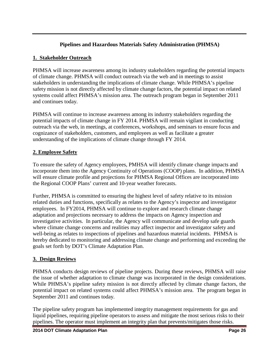#### **Pipelines and Hazardous Materials Safety Administration (PHMSA)**

#### **1. Stakeholder Outreach**

PHMSA will increase awareness among its industry stakeholders regarding the potential impacts of climate change. PHMSA will conduct outreach via the web and in meetings to assist stakeholders in understanding the implications of climate change. While PHMSA's pipeline safety mission is not directly affected by climate change factors, the potential impact on related systems could affect PHMSA's mission area. The outreach program began in September 2011 and continues today.

PHMSA will continue to increase awareness among its industry stakeholders regarding the potential impacts of climate change in FY 2014. PHMSA will remain vigilant in conducting outreach via the web, in meetings, at conferences, workshops, and seminars to ensure focus and cognizance of stakeholders, customers, and employees as well as facilitate a greater understanding of the implications of climate change through FY 2014.

#### **2. Employee Safety**

To ensure the safety of Agency employees, PMHSA will identify climate change impacts and incorporate them into the Agency Continuity of Operations (COOP) plans. In addition, PHMSA will ensure climate profile and projections for PHMSA Regional Offices are incorporated into the Regional COOP Plans' current and 10-year weather forecasts.

Further, PHMSA is committed to ensuring the highest level of safety relative to its mission related duties and functions, specifically as relates to the Agency's inspector and investigator employees. In FY2014, PHMSA will continue to explore and research climate change adaptation and projections necessary to address the impacts on Agency inspection and investigative activities. In particular, the Agency will communicate and develop safe guards where climate change concerns and realities may affect inspector and investigator safety and well-being as relates to inspections of pipelines and hazardous material incidents. PHMSA is hereby dedicated to monitoring and addressing climate change and performing and exceeding the goals set forth by DOT's Climate Adaptation Plan.

#### **3. Design Reviews**

PHMSA conducts design reviews of pipeline projects. During these reviews, PHMSA will raise the issue of whether adaptation to climate change was incorporated in the design considerations. While PHMSA's pipeline safety mission is not directly affected by climate change factors, the potential impact on related systems could affect PHMSA's mission area. The program began in September 2011 and continues today.

The pipeline safety program has implemented integrity management requirements for gas and liquid pipelines, requiring pipeline operators to assess and mitigate the most serious risks to their pipelines. The operator must implement an integrity plan that prevents/mitigates those risks.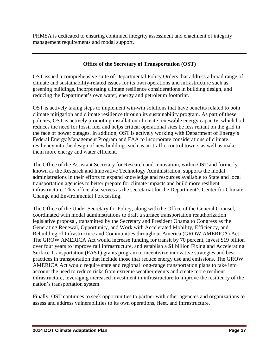PHMSA is dedicated to ensuring continued integrity assessment and enactment of integrity management requirements and modal support.

#### **Office of the Secretary of Transportation (OST)**

OST issued a comprehensive suite of Departmental Policy Orders that address a broad range of climate and sustainability-related issues for its own operations and infrastructure such as greening buildings, incorporating climate resilience considerations in building design, and reducing the Department's own water, energy and petroleum footprint.

OST is actively taking steps to implement win-win solutions that have benefits related to both climate mitigation and climate resilience through its sustainability program. As part of these policies, OST is actively promoting installation of onsite renewable energy capacity, which both reduces the need for fossil fuel and helps critical operational sites be less reliant on the grid in the face of power outages. In addition, OST is actively working with Department of Energy's Federal Energy Management Program and FAA to incorporate considerations of climate resiliency into the design of new buildings such as air traffic control towers as well as make them more energy and water efficient.

The Office of the Assistant Secretary for Research and Innovation, within OST and formerly known as the Research and Innovative Technology Administration, supports the modal administrations in their efforts to expand knowledge and resources available to State and local transportation agencies to better prepare for climate impacts and build more resilient infrastructure. This office also serves as the secretariat for the Department's Center for Climate Change and Environmental Forecasting.

The Office of the Under Secretary for Policy, along with the Office of the General Counsel, coordinated with modal administrations to draft a surface transportation reauthorization legislative proposal, transmitted by the Secretary and President Obama to Congress as the Generating Renewal, Opportunity, and Work with Accelerated Mobility, Efficiency, and Rebuilding of Infrastructure and Communities throughout America (GROW AMERICA) Act. The GROW AMERICA Act would increase funding for transit by 70 percent, invest \$19 billion over four years to improve rail infrastructure, and establish a \$1 billion Fixing and Accelerating Surface Transportation (FAST) grants program to incentivize innovative strategies and best practices in transportation that include those that reduce energy use and emissions. The GROW AMERICA Act would require state and regional long-range transportation plans to take into account the need to reduce risks from extreme weather events and create more resilient infrastructure, leveraging increased investment in infrastructure to improve the resiliency of the nation's transportation system.

Finally, OST continues to seek opportunities to partner with other agencies and organizations to assess and address vulnerabilities to its own operations, fleet, and infrastructure.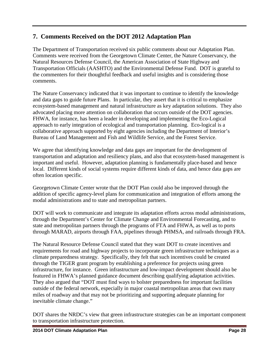# **7. Comments Received on the DOT 2012 Adaptation Plan**

The Department of Transportation received six public comments about our Adaptation Plan. Comments were received from the Georgetown Climate Center, the Nature Conservancy, the Natural Resources Defense Council, the American Association of State Highway and Transportation Officials (AASHTO) and the Environmental Defense Fund. DOT is grateful to the commenters for their thoughtful feedback and useful insights and is considering those comments.

The Nature Conservancy indicated that it was important to continue to identify the knowledge and data gaps to guide future Plans. In particular, they assert that it is critical to emphasize ecosystem-based management and natural infrastructure as key adaptation solutions. They also advocated placing more attention on collaboration that occurs outside of the DOT agencies. FHWA, for instance, has been a leader in developing and implementing the Eco-Logical approach to early integration of ecological and transportation planning. Eco-logical is a collaborative approach supported by eight agencies including the Department of Interior's Bureau of Land Management and Fish and Wildlife Service, and the Forest Service.

We agree that identifying knowledge and data gaps are important for the development of transportation and adaptation and resiliency plans, and also that ecosystem-based management is important and useful. However, adaptation planning is fundamentally place-based and hence local. Different kinds of social systems require different kinds of data, and hence data gaps are often location specific.

Georgetown Climate Center wrote that the DOT Plan could also be improved through the addition of specific agency-level plans for communication and integration of efforts among the modal administrations and to state and metropolitan partners.

DOT will work to communicate and integrate its adaptation efforts across modal administrations, through the Department's Center for Climate Change and Environmental Forecasting, and to state and metropolitan partners through the programs of FTA and FHWA, as well as to ports through MARAD, airports through FAA, pipelines through PHMSA, and railroads through FRA.

The Natural Resource Defense Council stated that they want DOT to create incentives and requirements for road and highway projects to incorporate green infrastructure techniques as a climate preparedness strategy. Specifically, they felt that such incentives could be created through the TIGER grant program by establishing a preference for projects using green infrastructure, for instance. Green infrastructure and low-impact development should also be featured in FHWA's planned guidance document describing qualifying adaptation activities. They also argued that "DOT must find ways to bolster preparedness for important facilities outside of the federal network, especially in major coastal metropolitan areas that own many miles of roadway and that may not be prioritizing and supporting adequate planning for inevitable climate change."

DOT shares the NRDC's view that green infrastructure strategies can be an important component to transportation infrastructure protection.